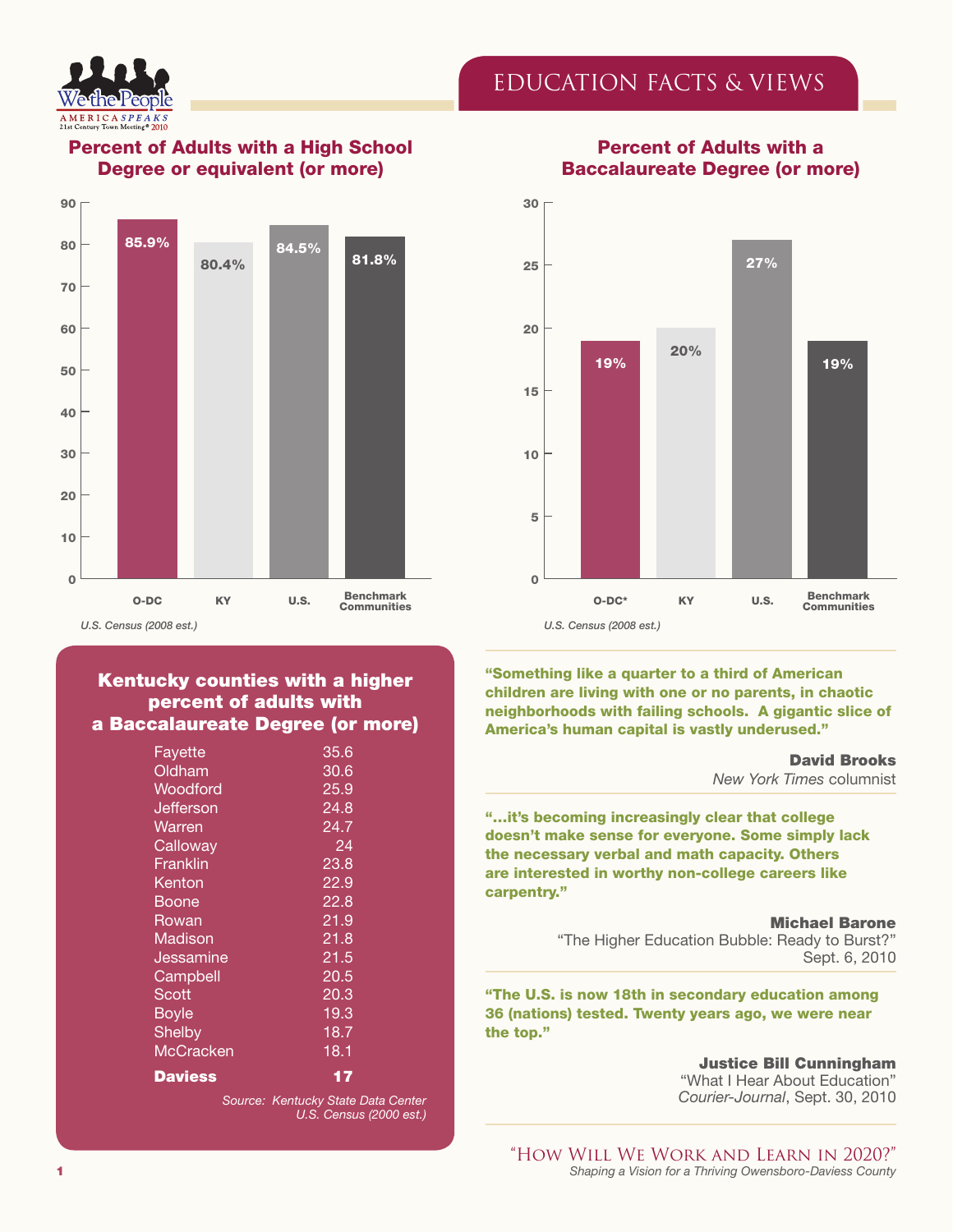



## Percent of Adults with a High School Degree or equivalent (or more)



#### Kentucky counties with a higher percent of adults with a Baccalaureate Degree (or more)

| 35.6              |  |
|-------------------|--|
| 30.6              |  |
| 25.9              |  |
| 24.8              |  |
| $\overline{2}4.7$ |  |
| 24                |  |
| 23.8              |  |
| 22.9              |  |
| 22.8              |  |
| 21.9              |  |
| 21.8              |  |
| 21.5              |  |
| 20.5              |  |
| 20.3              |  |
| 19.3              |  |
| 18.7              |  |
| 18.1              |  |
| 17                |  |
|                   |  |

*Source: Kentucky State Data Center U.S. Census (2000 est.)*

## Percent of Adults with a Baccalaureate Degree (or more)



"Something like a quarter to a third of American children are living with one or no parents, in chaotic neighborhoods with failing schools. A gigantic slice of America's human capital is vastly underused."

#### David Brooks *New York Times* columnist

"…it's becoming increasingly clear that college doesn't make sense for everyone. Some simply lack the necessary verbal and math capacity. Others are interested in worthy non-college careers like carpentry."

Michael Barone

"The Higher Education Bubble: Ready to Burst?" Sept. 6, 2010

"The U.S. is now 18th in secondary education among 36 (nations) tested. Twenty years ago, we were near the top."

> Justice Bill Cunningham "What I Hear About Education" *Courier-Journal*, Sept. 30, 2010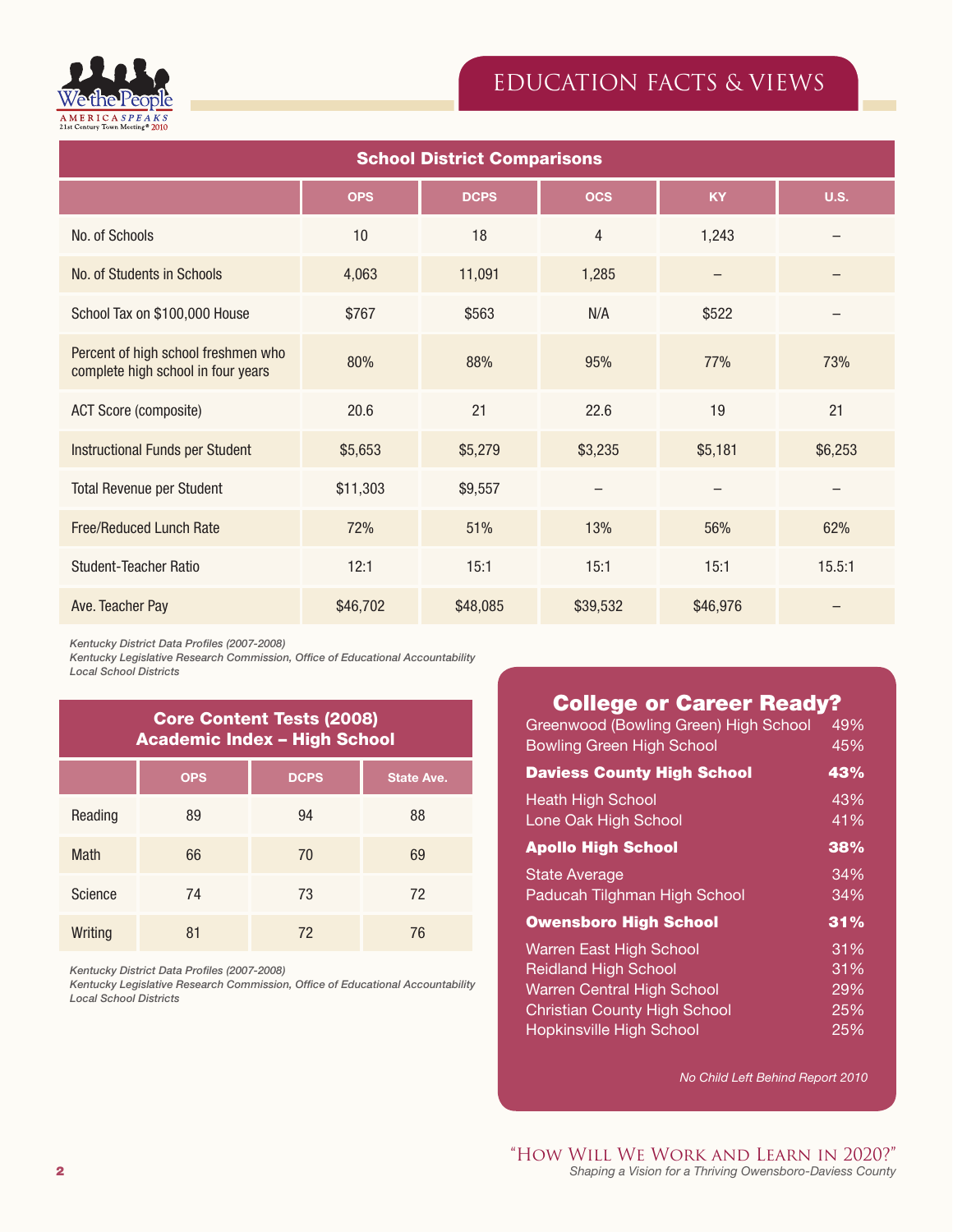

| <b>School District Comparisons</b>                                        |            |             |                   |           |             |
|---------------------------------------------------------------------------|------------|-------------|-------------------|-----------|-------------|
|                                                                           | <b>OPS</b> | <b>DCPS</b> | <b>OCS</b>        | <b>KY</b> | <b>U.S.</b> |
| No. of Schools                                                            | 10         | 18          | 4                 | 1,243     |             |
| No. of Students in Schools                                                | 4,063      | 11,091      | 1,285             |           |             |
| School Tax on \$100,000 House                                             | \$767      | \$563       | N/A               | \$522     |             |
| Percent of high school freshmen who<br>complete high school in four years | 80%        | 88%         | 95%               | 77%       | 73%         |
| ACT Score (composite)                                                     | 20.6       | 21          | 22.6              | 19        | 21          |
| <b>Instructional Funds per Student</b>                                    | \$5,653    | \$5,279     | \$3,235           | \$5,181   | \$6,253     |
| <b>Total Revenue per Student</b>                                          | \$11,303   | \$9,557     | $\qquad \qquad -$ |           |             |
| <b>Free/Reduced Lunch Rate</b>                                            | 72%        | 51%         | 13%               | 56%       | 62%         |
| <b>Student-Teacher Ratio</b>                                              | 12:1       | 15:1        | 15:1              | 15:1      | 15.5:1      |
| Ave. Teacher Pay                                                          | \$46,702   | \$48,085    | \$39,532          | \$46,976  |             |

*Kentucky District Data Profiles (2007-2008)*

*Kentucky Legislative Research Commission, Office of Educational Accountability Local School Districts*

| <b>Core Content Tests (2008)</b><br><b>Academic Index - High School</b> |            |             |                   |  |
|-------------------------------------------------------------------------|------------|-------------|-------------------|--|
|                                                                         | <b>OPS</b> | <b>DCPS</b> | <b>State Ave.</b> |  |
| Reading                                                                 | 89         | 94          | 88                |  |
| <b>Math</b>                                                             | 66         | 70          | 69                |  |
| Science                                                                 | 74         | 73          | 72                |  |
| Writing                                                                 | 81         | 72          | 76                |  |

*Kentucky District Data Profiles (2007-2008)*

*Kentucky Legislative Research Commission, Office of Educational Accountability Local School Districts*

# College or Career Ready?

| Greenwood (Bowling Green) High School | 49% |
|---------------------------------------|-----|
| <b>Bowling Green High School</b>      | 45% |
| <b>Daviess County High School</b>     | 43% |
| <b>Heath High School</b>              | 43% |
| Lone Oak High School                  | 41% |
| <b>Apollo High School</b>             | 38% |
| <b>State Average</b>                  | 34% |
| Paducah Tilghman High School          | 34% |
| <b>Owensboro High School</b>          | 31% |
| Warren East High School               | 31% |
| <b>Reidland High School</b>           | 31% |
| <b>Warren Central High School</b>     | 29% |
| <b>Christian County High School</b>   | 25% |
| <b>Hopkinsville High School</b>       | 25% |

 *No Child Left Behind Report 2010*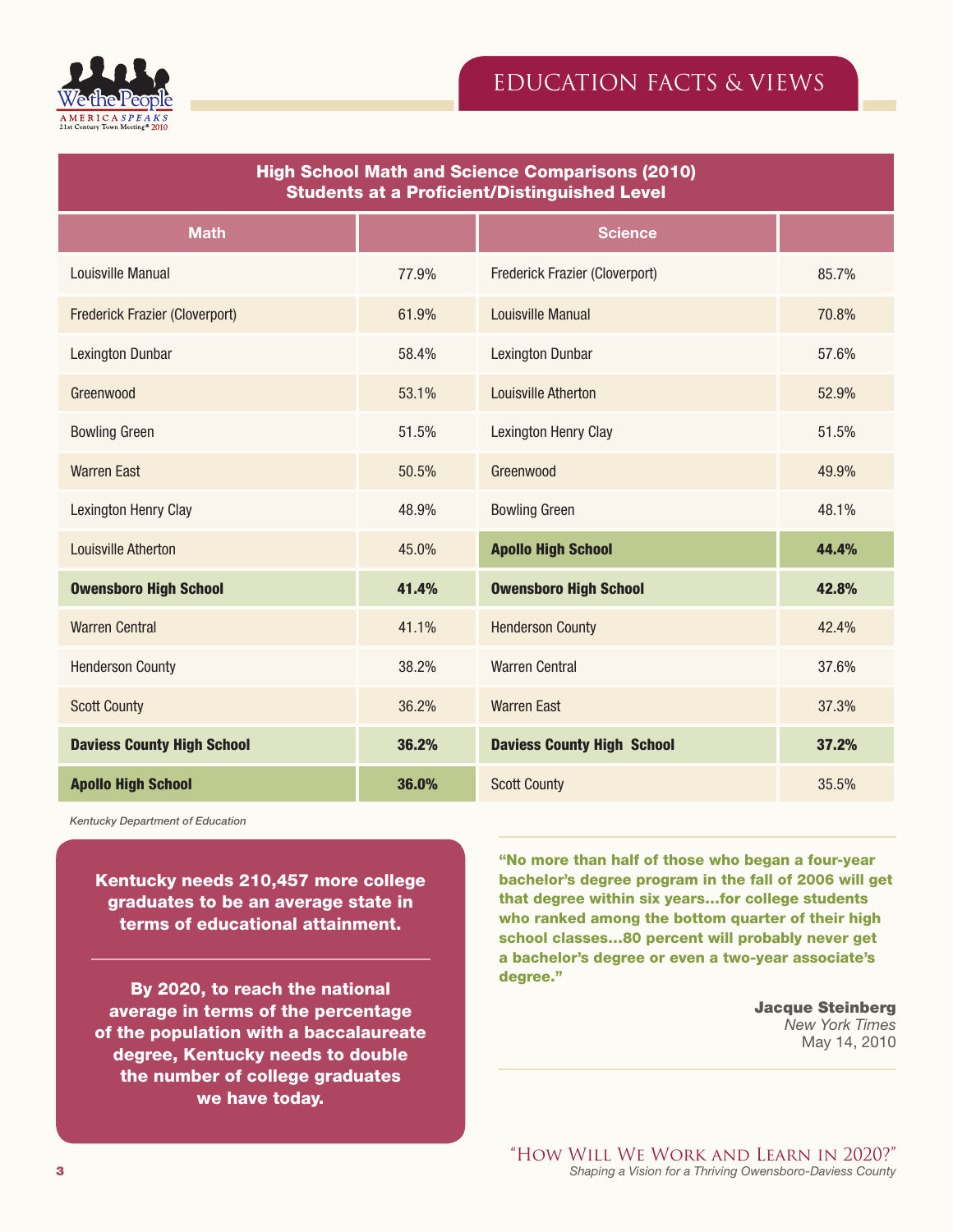

| <b>High School Math and Science Comparisons (2010)</b><br><b>Students at a Proficient/Distinguished Level</b> |       |                                   |       |
|---------------------------------------------------------------------------------------------------------------|-------|-----------------------------------|-------|
| <b>Math</b>                                                                                                   |       | <b>Science</b>                    |       |
| Louisville Manual                                                                                             | 77.9% | Frederick Frazier (Cloverport)    | 85.7% |
| Frederick Frazier (Cloverport)                                                                                | 61.9% | <b>Louisville Manual</b>          | 70.8% |
| <b>Lexington Dunbar</b>                                                                                       | 58.4% | <b>Lexington Dunbar</b>           | 57.6% |
| Greenwood                                                                                                     | 53.1% | Louisville Atherton               | 52.9% |
| <b>Bowling Green</b>                                                                                          | 51.5% | Lexington Henry Clay              | 51.5% |
| <b>Warren East</b>                                                                                            | 50.5% | Greenwood                         | 49.9% |
| Lexington Henry Clay                                                                                          | 48.9% | <b>Bowling Green</b>              | 48.1% |
| <b>Louisville Atherton</b>                                                                                    | 45.0% | <b>Apollo High School</b>         | 44.4% |
| <b>Owensboro High School</b>                                                                                  | 41.4% | <b>Owensboro High School</b>      | 42.8% |
| <b>Warren Central</b>                                                                                         | 41.1% | <b>Henderson County</b>           | 42.4% |
| <b>Henderson County</b>                                                                                       | 38.2% | <b>Warren Central</b>             | 37.6% |
| <b>Scott County</b>                                                                                           | 36.2% | <b>Warren East</b>                | 37.3% |
| <b>Daviess County High School</b>                                                                             | 36.2% | <b>Daviess County High School</b> | 37.2% |
| <b>Apollo High School</b>                                                                                     | 36.0% | <b>Scott County</b>               | 35.5% |

*Kentucky Department of Education*

Kentucky needs 210,457 more college graduates to be an average state in terms of educational attainment.

By 2020, to reach the national average in terms of the percentage of the population with a baccalaureate degree, Kentucky needs to double the number of college graduates we have today.

"No more than half of those who began a four-year bachelor's degree program in the fall of 2006 will get that degree within six years…for college students who ranked among the bottom quarter of their high school classes…80 percent will probably never get a bachelor's degree or even a two-year associate's degree."

> Jacque Steinberg *New York Times* May 14, 2010